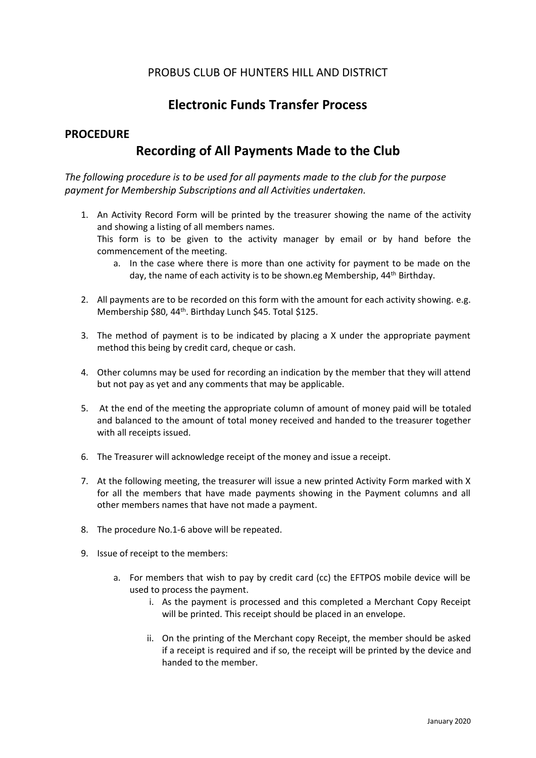## PROBUS CLUB OF HUNTERS HILL AND DISTRICT

## **Electronic Funds Transfer Process**

## **PROCEDURE**

## **Recording of All Payments Made to the Club**

*The following procedure is to be used for all payments made to the club for the purpose payment for Membership Subscriptions and all Activities undertaken.*

- 1. An Activity Record Form will be printed by the treasurer showing the name of the activity and showing a listing of all members names. This form is to be given to the activity manager by email or by hand before the commencement of the meeting.
	- a. In the case where there is more than one activity for payment to be made on the day, the name of each activity is to be shown.eg Membership, 44<sup>th</sup> Birthday.
- 2. All payments are to be recorded on this form with the amount for each activity showing. e.g. Membership \$80, 44th. Birthday Lunch \$45. Total \$125.
- 3. The method of payment is to be indicated by placing a X under the appropriate payment method this being by credit card, cheque or cash.
- 4. Other columns may be used for recording an indication by the member that they will attend but not pay as yet and any comments that may be applicable.
- 5. At the end of the meeting the appropriate column of amount of money paid will be totaled and balanced to the amount of total money received and handed to the treasurer together with all receipts issued.
- 6. The Treasurer will acknowledge receipt of the money and issue a receipt.
- 7. At the following meeting, the treasurer will issue a new printed Activity Form marked with X for all the members that have made payments showing in the Payment columns and all other members names that have not made a payment.
- 8. The procedure No.1-6 above will be repeated.
- 9. Issue of receipt to the members:
	- a. For members that wish to pay by credit card (cc) the EFTPOS mobile device will be used to process the payment.
		- i. As the payment is processed and this completed a Merchant Copy Receipt will be printed. This receipt should be placed in an envelope.
		- ii. On the printing of the Merchant copy Receipt, the member should be asked if a receipt is required and if so, the receipt will be printed by the device and handed to the member.